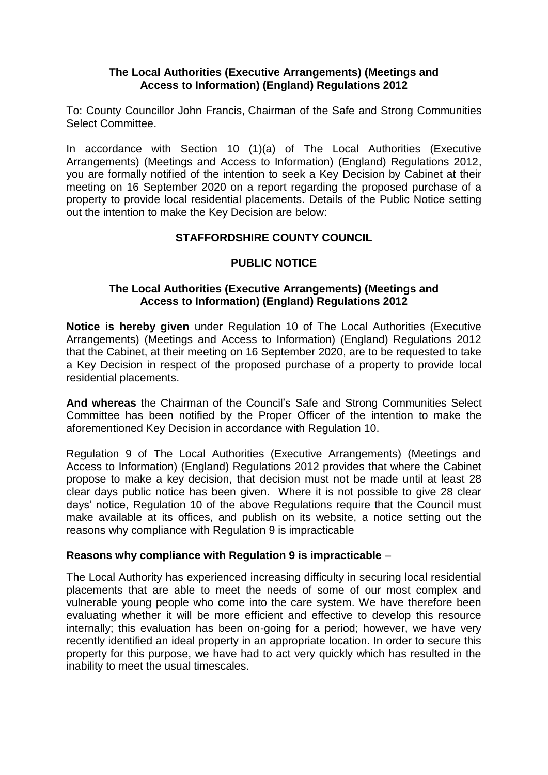### **The Local Authorities (Executive Arrangements) (Meetings and Access to Information) (England) Regulations 2012**

To: County Councillor John Francis, Chairman of the Safe and Strong Communities Select Committee.

In accordance with Section 10 (1)(a) of The Local Authorities (Executive Arrangements) (Meetings and Access to Information) (England) Regulations 2012, you are formally notified of the intention to seek a Key Decision by Cabinet at their meeting on 16 September 2020 on a report regarding the proposed purchase of a property to provide local residential placements. Details of the Public Notice setting out the intention to make the Key Decision are below:

## **STAFFORDSHIRE COUNTY COUNCIL**

# **PUBLIC NOTICE**

### **The Local Authorities (Executive Arrangements) (Meetings and Access to Information) (England) Regulations 2012**

**Notice is hereby given** under Regulation 10 of The Local Authorities (Executive Arrangements) (Meetings and Access to Information) (England) Regulations 2012 that the Cabinet, at their meeting on 16 September 2020, are to be requested to take a Key Decision in respect of the proposed purchase of a property to provide local residential placements.

**And whereas** the Chairman of the Council's Safe and Strong Communities Select Committee has been notified by the Proper Officer of the intention to make the aforementioned Key Decision in accordance with Regulation 10.

Regulation 9 of The Local Authorities (Executive Arrangements) (Meetings and Access to Information) (England) Regulations 2012 provides that where the Cabinet propose to make a key decision, that decision must not be made until at least 28 clear days public notice has been given. Where it is not possible to give 28 clear days' notice, Regulation 10 of the above Regulations require that the Council must make available at its offices, and publish on its website, a notice setting out the reasons why compliance with Regulation 9 is impracticable

### **Reasons why compliance with Regulation 9 is impracticable** –

The Local Authority has experienced increasing difficulty in securing local residential placements that are able to meet the needs of some of our most complex and vulnerable young people who come into the care system. We have therefore been evaluating whether it will be more efficient and effective to develop this resource internally; this evaluation has been on-going for a period; however, we have very recently identified an ideal property in an appropriate location. In order to secure this property for this purpose, we have had to act very quickly which has resulted in the inability to meet the usual timescales.